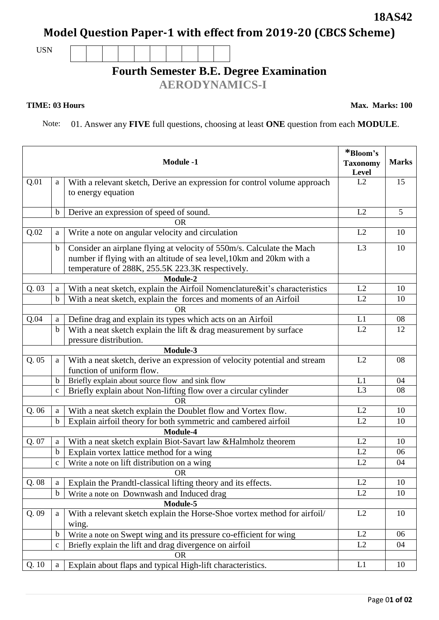Page 0**1 of 02**

## **18AS42**

**Model Question Paper-1 with effect from 2019-20 (CBCS Scheme)**

USN

## **Fourth Semester B.E. Degree Examination**

 **AERODYNAMICS-I**

**TIME: 03 Hours Max. Marks: 100** 

Note: 01. Answer any **FIVE** full questions, choosing at least **ONE** question from each **MODULE**.

| <b>Module -1</b> |                  |                                                                                                | *Bloom's<br><b>Taxonomy</b><br>Level | <b>Marks</b> |
|------------------|------------------|------------------------------------------------------------------------------------------------|--------------------------------------|--------------|
| Q.01             | a                | With a relevant sketch, Derive an expression for control volume approach<br>to energy equation | L2                                   | 15           |
|                  |                  |                                                                                                |                                      |              |
|                  | b                | Derive an expression of speed of sound.                                                        | L2                                   | 5            |
|                  |                  | OR                                                                                             |                                      |              |
| Q.02             | a                | Write a note on angular velocity and circulation                                               | L2                                   | 10           |
|                  | $\mathbf b$      | Consider an airplane flying at velocity of 550m/s. Calculate the Mach                          | L3                                   | 10           |
|                  |                  | number if flying with an altitude of sea level, 10km and 20km with a                           |                                      |              |
|                  |                  | temperature of 288K, 255.5K 223.3K respectively.                                               |                                      |              |
|                  |                  | Module-2                                                                                       |                                      |              |
| Q.03             | a                | With a neat sketch, explain the Airfoil Nomenclature⁢'s characteristics                        | L2                                   | 10           |
|                  | $\mathbf b$      | With a neat sketch, explain the forces and moments of an Airfoil                               | L2                                   | 10           |
|                  |                  | 0R                                                                                             |                                      |              |
| Q.04             | a                | Define drag and explain its types which acts on an Airfoil                                     | L1                                   | 08           |
|                  | $\mathbf b$      | With a neat sketch explain the lift & drag measurement by surface                              | L2                                   | 12           |
|                  |                  | pressure distribution.                                                                         |                                      |              |
|                  |                  | Module-3                                                                                       |                                      |              |
| Q.05             | a                | With a neat sketch, derive an expression of velocity potential and stream                      | L2                                   | 08           |
|                  |                  | function of uniform flow.                                                                      |                                      |              |
|                  | $\mathbf b$      | Briefly explain about source flow and sink flow                                                | L1                                   | 04           |
|                  | $\mathbf c$      | Briefly explain about Non-lifting flow over a circular cylinder                                | L <sub>3</sub>                       | 08           |
|                  |                  | <b>OR</b>                                                                                      |                                      |              |
| Q.06             | a                | With a neat sketch explain the Doublet flow and Vortex flow.                                   | L2                                   | 10           |
|                  | $\mathbf b$      | Explain airfoil theory for both symmetric and cambered airfoil                                 | L2                                   | 10           |
| Q. 07            |                  | Module-4                                                                                       | L2                                   | 10           |
|                  | a                | With a neat sketch explain Biot-Savart law &Halmholz theorem                                   | L2                                   |              |
|                  | $\mathbf b$      | Explain vortex lattice method for a wing                                                       |                                      | 06           |
|                  | $\mathbf{C}$     | Write a note on lift distribution on a wing                                                    | L2                                   | 04           |
| Q.08             |                  | <b>OR</b>                                                                                      | L2                                   | 10           |
|                  | a<br>$\mathbf b$ | Explain the Prandtl-classical lifting theory and its effects.                                  | L2                                   | 10           |
|                  |                  | Write a note on Downwash and Induced drag<br>Module-5                                          |                                      |              |
| Q.09             | a                | With a relevant sketch explain the Horse-Shoe vortex method for airfoil/                       | L2                                   | 10           |
|                  |                  | wing.                                                                                          |                                      |              |
|                  | $\mathbf b$      | Write a note on Swept wing and its pressure co-efficient for wing                              | L2                                   | 06           |
|                  | $\mathbf c$      | Briefly explain the lift and drag divergence on airfoil                                        | L2                                   | 04           |
|                  |                  | <b>OR</b>                                                                                      |                                      |              |
| Q. 10            | $\rm{a}$         | Explain about flaps and typical High-lift characteristics.                                     | L1                                   | 10           |